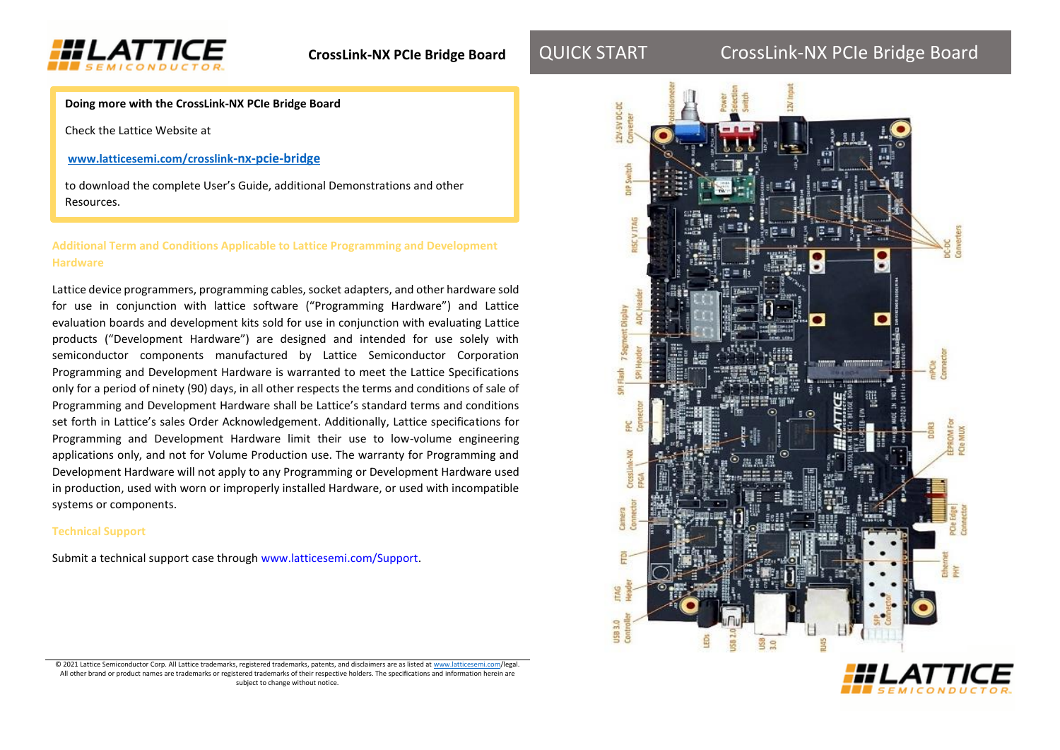

# QUICK START CrossLink-NX PCIe Bridge Board

**Doing more with the CrossLink-NX PCIe Bridge Board**

Check the Lattice Website at

**www.latticesemi.com/crosslink-nx-pcie-bridge**

to download the complete User's Guide, additional Demonstrations and other Resources.

## **Additional Term and Conditions Applicable to Lattice Programming and Development Hardware**

Lattice device programmers, programming cables, socket adapters, and other hardware sold for use in conjunction with lattice software ("Programming Hardware") and Lattice evaluation boards and development kits sold for use in conjunction with evaluating Lattice products ("Development Hardware") are designed and intended for use solely with semiconductor components manufactured by Lattice Semiconductor Corporation Programming and Development Hardware is warranted to meet the Lattice Specifications only for a period of ninety (90) days, in all other respects the terms and conditions of sale of Programming and Development Hardware shall be Lattice's standard terms and conditions set forth in Lattice's sales Order Acknowledgement. Additionally, Lattice specifications for Programming and Development Hardware limit their use to low-volume engineering applications only, and not for Volume Production use. The warranty for Programming and Development Hardware will not apply to any Programming or Development Hardware used in production, used with worn or improperly installed Hardware, or used with incompatible systems or components.

### **Technical Support**

Submit a technical support case through www.latticesemi.com/Support.





© 2021 Lattice Semiconductor Corp. All Lattice trademarks, registered trademarks, patents, and disclaimers are as listed at www.lattice All other brand or product names are trademarks or registered trademarks of their respective holders. The specifications and information herein are subject to change without notice.